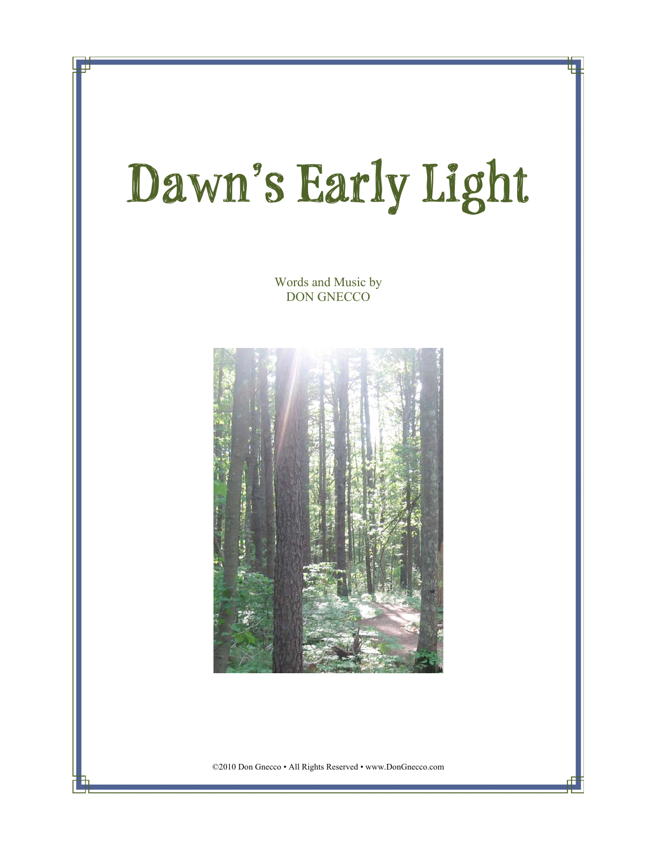## **Dawn's Early Light**

Words and Music by DON GNECCO



©2010 Don Gnecco • All Rights Reserved • www.DonGnecco.com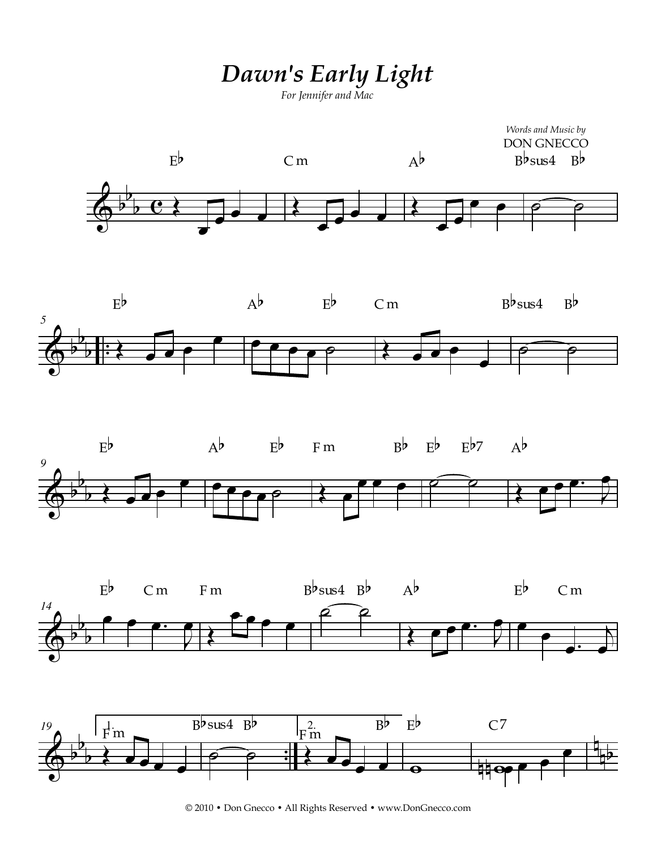## *Dawn's Early Light*

*For Jennifer and Mac*











© 2010 • Don Gnecco • All Rights Reserved • www.DonGnecco.com